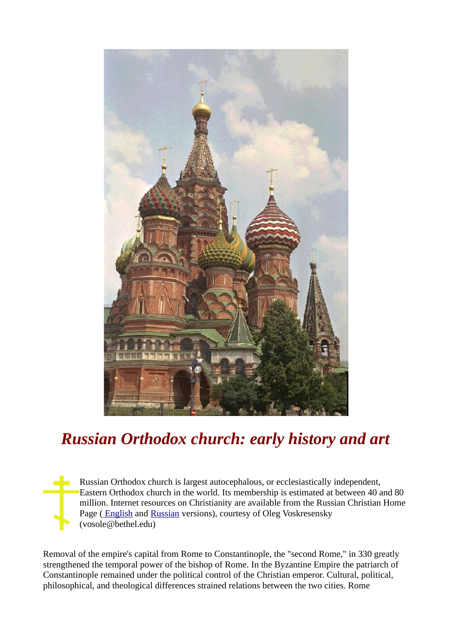

## *Russian Orthodox church: early history and art*

Russian Orthodox church is largest autocephalous, or ecclesiastically independent, Eastern Orthodox church in the world. Its membership is estimated at between 40 and 80 million. Internet resources on Christianity are available from the Russian Christian Home Page [\( English](http://www.bethel.edu/Personal_Home/V/OV/russian3.htm) and [Russian](http://www.bethel.edu/Personal_Home/V/OV/russian5.htm) versions), courtesy of Oleg Voskresensky (vosole@bethel.edu)

Removal of the empire's capital from Rome to Constantinople, the "second Rome," in 330 greatly strengthened the temporal power of the bishop of Rome. In the Byzantine Empire the patriarch of Constantinople remained under the political control of the Christian emperor. Cultural, political, philosophical, and theological differences strained relations between the two cities. Rome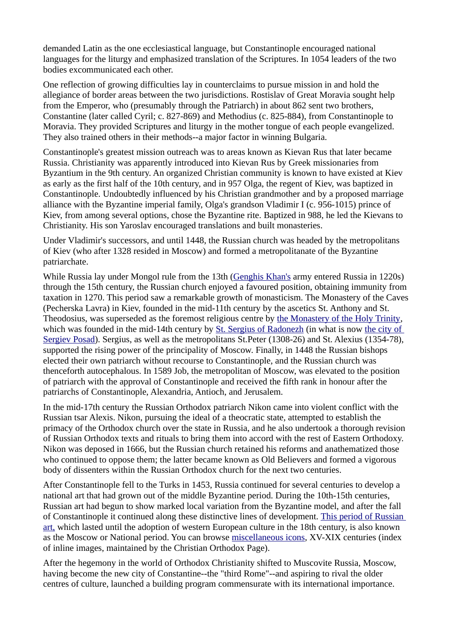demanded Latin as the one ecclesiastical language, but Constantinople encouraged national languages for the liturgy and emphasized translation of the Scriptures. In 1054 leaders of the two bodies excommunicated each other.

One reflection of growing difficulties lay in counterclaims to pursue mission in and hold the allegiance of border areas between the two jurisdictions. Rostislav of Great Moravia sought help from the Emperor, who (presumably through the Patriarch) in about 862 sent two brothers, Constantine (later called Cyril; c. 827-869) and Methodius (c. 825-884), from Constantinople to Moravia. They provided Scriptures and liturgy in the mother tongue of each people evangelized. They also trained others in their methods--a major factor in winning Bulgaria.

Constantinople's greatest mission outreach was to areas known as Kievan Rus that later became Russia. Christianity was apparently introduced into Kievan Rus by Greek missionaries from Byzantium in the 9th century. An organized Christian community is known to have existed at Kiev as early as the first half of the 10th century, and in 957 Olga, the regent of Kiev, was baptized in Constantinople. Undoubtedly influenced by his Christian grandmother and by a proposed marriage alliance with the Byzantine imperial family, Olga's grandson Vladimir I (c. 956-1015) prince of Kiev, from among several options, chose the Byzantine rite. Baptized in 988, he led the Kievans to Christianity. His son Yaroslav encouraged translations and built monasteries.

Under Vladimir's successors, and until 1448, the Russian church was headed by the metropolitans of Kiev (who after 1328 resided in Moscow) and formed a metropolitanate of the Byzantine patriarchate.

While Russia lay under Mongol rule from the 13th [\(Genghis Khan's](http://vvv.com/khan/khan.html) army entered Russia in 1220s) through the 15th century, the Russian church enjoyed a favoured position, obtaining immunity from taxation in 1270. This period saw a remarkable growth of monasticism. The Monastery of the Caves (Pecherska Lavra) in Kiev, founded in the mid-11th century by the ascetics St. Anthony and St. Theodosius, was superseded as the foremost religious centre by [the Monastery of the Holy Trinity,](http://www.friends-partners.org/oldfriends/mes/russia/moscow/sergiev/main.html) which was founded in the mid-14th century by [St. Sergius of Radonezh](http://solar.rtd.utk.edu/friends/mes/trinity/sergii.gif) (in what is now [the city of](http://www.friends-partners.org/oldfriends/mes/russia/moscow/sergiev/main.html) [Sergiev Posad\)](http://www.friends-partners.org/oldfriends/mes/russia/moscow/sergiev/main.html). Sergius, as well as the metropolitans St.Peter (1308-26) and St. Alexius (1354-78), supported the rising power of the principality of Moscow. Finally, in 1448 the Russian bishops elected their own patriarch without recourse to Constantinople, and the Russian church was thenceforth autocephalous. In 1589 Job, the metropolitan of Moscow, was elevated to the position of patriarch with the approval of Constantinople and received the fifth rank in honour after the patriarchs of Constantinople, Alexandria, Antioch, and Jerusalem.

In the mid-17th century the Russian Orthodox patriarch Nikon came into violent conflict with the Russian tsar Alexis. Nikon, pursuing the ideal of a theocratic state, attempted to establish the primacy of the Orthodox church over the state in Russia, and he also undertook a thorough revision of Russian Orthodox texts and rituals to bring them into accord with the rest of Eastern Orthodoxy. Nikon was deposed in 1666, but the Russian church retained his reforms and anathematized those who continued to oppose them; the latter became known as Old Believers and formed a vigorous body of dissenters within the Russian Orthodox church for the next two centuries.

After Constantinople fell to the Turks in 1453, Russia continued for several centuries to develop a national art that had grown out of the middle Byzantine period. During the 10th-15th centuries, Russian art had begun to show marked local variation from the Byzantine model, and after the fall of Constantinople it continued along these distinctive lines of development. [This period of Russian](http://sunsite.cs.msu.su/moscow/rublev/rublev.html) [art,](http://sunsite.cs.msu.su/moscow/rublev/rublev.html) which lasted until the adoption of western European culture in the 18th century, is also known as the Moscow or National period. You can browse [miscellaneous icons,](http://www.ocf.org/OrthodoxPage/icons/misc_in.html) XV-XIX centuries (index of inline images, maintained by the Christian Orthodox Page).

After the hegemony in the world of Orthodox Christianity shifted to Muscovite Russia, Moscow, having become the new city of Constantine--the "third Rome"--and aspiring to rival the older centres of culture, launched a building program commensurate with its international importance.